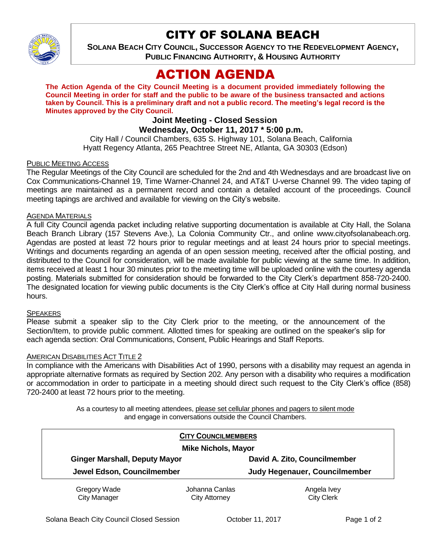

# CITY OF SOLANA BEACH

**SOLANA BEACH CITY COUNCIL, SUCCESSOR AGENCY TO THE REDEVELOPMENT AGENCY, PUBLIC FINANCING AUTHORITY, & HOUSING AUTHORITY** 

# ACTION AGENDA

**The Action Agenda of the City Council Meeting is a document provided immediately following the Council Meeting in order for staff and the public to be aware of the business transacted and actions taken by Council. This is a preliminary draft and not a public record. The meeting's legal record is the Minutes approved by the City Council.**

# **Joint Meeting - Closed Session**

## **Wednesday, October 11, 2017 \* 5:00 p.m.**

City Hall / Council Chambers, 635 S. Highway 101, Solana Beach, California Hyatt Regency Atlanta, 265 Peachtree Street NE, Atlanta, GA 30303 (Edson)

#### PUBLIC MEETING ACCESS

The Regular Meetings of the City Council are scheduled for the 2nd and 4th Wednesdays and are broadcast live on Cox Communications-Channel 19, Time Warner-Channel 24, and AT&T U-verse Channel 99. The video taping of meetings are maintained as a permanent record and contain a detailed account of the proceedings. Council meeting tapings are archived and available for viewing on the City's website.

#### AGENDA MATERIALS

A full City Council agenda packet including relative supporting documentation is available at City Hall, the Solana Beach Branch Library (157 Stevens Ave.), La Colonia Community Ctr., and online www.cityofsolanabeach.org. Agendas are posted at least 72 hours prior to regular meetings and at least 24 hours prior to special meetings. Writings and documents regarding an agenda of an open session meeting, received after the official posting, and distributed to the Council for consideration, will be made available for public viewing at the same time. In addition, items received at least 1 hour 30 minutes prior to the meeting time will be uploaded online with the courtesy agenda posting. Materials submitted for consideration should be forwarded to the City Clerk's department 858-720-2400. The designated location for viewing public documents is the City Clerk's office at City Hall during normal business hours.

#### **SPEAKERS**

Please submit a speaker slip to the City Clerk prior to the meeting, or the announcement of the Section/Item, to provide public comment. Allotted times for speaking are outlined on the speaker's slip for each agenda section: Oral Communications, Consent, Public Hearings and Staff Reports.

#### AMERICAN DISABILITIES ACT TITLE 2

In compliance with the Americans with Disabilities Act of 1990, persons with a disability may request an agenda in appropriate alternative formats as required by Section 202. Any person with a disability who requires a modification or accommodation in order to participate in a meeting should direct such request to the City Clerk's office (858) 720-2400 at least 72 hours prior to the meeting.

> As a courtesy to all meeting attendees, please set cellular phones and pagers to silent mode and engage in conversations outside the Council Chambers.

| <b>CITY COUNCILMEMBERS</b><br><b>Mike Nichols, Mayor</b> |                                        |                                  |
|----------------------------------------------------------|----------------------------------------|----------------------------------|
|                                                          |                                        |                                  |
| Jewel Edson, Councilmember                               |                                        | Judy Hegenauer, Councilmember    |
| <b>Gregory Wade</b><br><b>City Manager</b>               | Johanna Canlas<br><b>City Attorney</b> | Angela Ivey<br><b>City Clerk</b> |